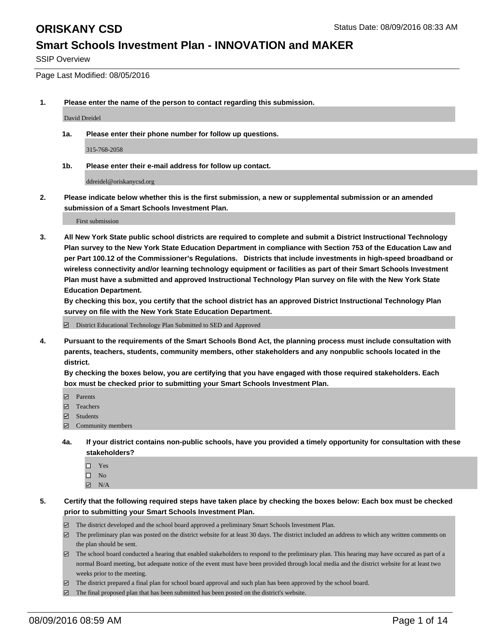SSIP Overview

Page Last Modified: 08/05/2016

**1. Please enter the name of the person to contact regarding this submission.**

David Dreidel

**1a. Please enter their phone number for follow up questions.**

315-768-2058

**1b. Please enter their e-mail address for follow up contact.**

ddreidel@oriskanycsd.org

**2. Please indicate below whether this is the first submission, a new or supplemental submission or an amended submission of a Smart Schools Investment Plan.**

First submission

**3. All New York State public school districts are required to complete and submit a District Instructional Technology Plan survey to the New York State Education Department in compliance with Section 753 of the Education Law and per Part 100.12 of the Commissioner's Regulations. Districts that include investments in high-speed broadband or wireless connectivity and/or learning technology equipment or facilities as part of their Smart Schools Investment Plan must have a submitted and approved Instructional Technology Plan survey on file with the New York State Education Department.** 

**By checking this box, you certify that the school district has an approved District Instructional Technology Plan survey on file with the New York State Education Department.**

District Educational Technology Plan Submitted to SED and Approved

**4. Pursuant to the requirements of the Smart Schools Bond Act, the planning process must include consultation with parents, teachers, students, community members, other stakeholders and any nonpublic schools located in the district.** 

**By checking the boxes below, you are certifying that you have engaged with those required stakeholders. Each box must be checked prior to submitting your Smart Schools Investment Plan.**

- Parents
- □ Teachers
- Students
- Community members
- **4a. If your district contains non-public schools, have you provided a timely opportunity for consultation with these stakeholders?**
	- $\Box$  Yes  $\square$  No
	- $\boxtimes$  N/A
- **5. Certify that the following required steps have taken place by checking the boxes below: Each box must be checked prior to submitting your Smart Schools Investment Plan.**
	- The district developed and the school board approved a preliminary Smart Schools Investment Plan.
	- $\boxdot$  The preliminary plan was posted on the district website for at least 30 days. The district included an address to which any written comments on the plan should be sent.
	- The school board conducted a hearing that enabled stakeholders to respond to the preliminary plan. This hearing may have occured as part of a normal Board meeting, but adequate notice of the event must have been provided through local media and the district website for at least two weeks prior to the meeting.
	- The district prepared a final plan for school board approval and such plan has been approved by the school board.
	- $\boxdot$  The final proposed plan that has been submitted has been posted on the district's website.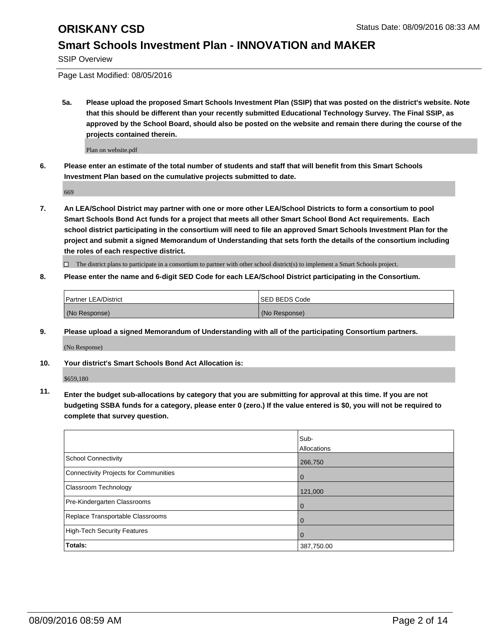SSIP Overview

Page Last Modified: 08/05/2016

**5a. Please upload the proposed Smart Schools Investment Plan (SSIP) that was posted on the district's website. Note that this should be different than your recently submitted Educational Technology Survey. The Final SSIP, as approved by the School Board, should also be posted on the website and remain there during the course of the projects contained therein.**

Plan on website.pdf

**6. Please enter an estimate of the total number of students and staff that will benefit from this Smart Schools Investment Plan based on the cumulative projects submitted to date.**

669

**7. An LEA/School District may partner with one or more other LEA/School Districts to form a consortium to pool Smart Schools Bond Act funds for a project that meets all other Smart School Bond Act requirements. Each school district participating in the consortium will need to file an approved Smart Schools Investment Plan for the project and submit a signed Memorandum of Understanding that sets forth the details of the consortium including the roles of each respective district.**

 $\Box$  The district plans to participate in a consortium to partner with other school district(s) to implement a Smart Schools project.

### **8. Please enter the name and 6-digit SED Code for each LEA/School District participating in the Consortium.**

| <b>Partner LEA/District</b> | <b>ISED BEDS Code</b> |
|-----------------------------|-----------------------|
| (No Response)               | (No Response)         |

**9. Please upload a signed Memorandum of Understanding with all of the participating Consortium partners.**

(No Response)

**10. Your district's Smart Schools Bond Act Allocation is:**

\$659,180

**11. Enter the budget sub-allocations by category that you are submitting for approval at this time. If you are not budgeting SSBA funds for a category, please enter 0 (zero.) If the value entered is \$0, you will not be required to complete that survey question.**

|                                       | Sub-        |
|---------------------------------------|-------------|
|                                       | Allocations |
| <b>School Connectivity</b>            | 266,750     |
| Connectivity Projects for Communities | $\Omega$    |
| <b>Classroom Technology</b>           | 121,000     |
| Pre-Kindergarten Classrooms           | $\Omega$    |
| Replace Transportable Classrooms      | 0           |
| High-Tech Security Features           | 0           |
| <b>Totals:</b>                        | 387,750.00  |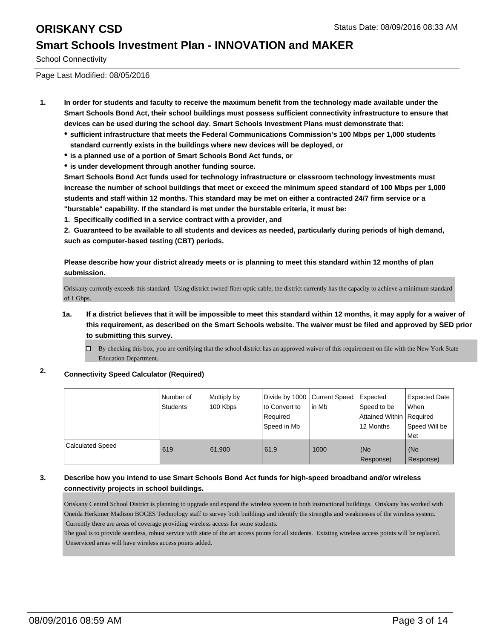School Connectivity

Page Last Modified: 08/05/2016

- **1. In order for students and faculty to receive the maximum benefit from the technology made available under the Smart Schools Bond Act, their school buildings must possess sufficient connectivity infrastructure to ensure that devices can be used during the school day. Smart Schools Investment Plans must demonstrate that:**
	- **sufficient infrastructure that meets the Federal Communications Commission's 100 Mbps per 1,000 students standard currently exists in the buildings where new devices will be deployed, or**
	- **is a planned use of a portion of Smart Schools Bond Act funds, or**
	- **is under development through another funding source.**

**Smart Schools Bond Act funds used for technology infrastructure or classroom technology investments must increase the number of school buildings that meet or exceed the minimum speed standard of 100 Mbps per 1,000 students and staff within 12 months. This standard may be met on either a contracted 24/7 firm service or a "burstable" capability. If the standard is met under the burstable criteria, it must be:**

**1. Specifically codified in a service contract with a provider, and**

**2. Guaranteed to be available to all students and devices as needed, particularly during periods of high demand, such as computer-based testing (CBT) periods.**

**Please describe how your district already meets or is planning to meet this standard within 12 months of plan submission.**

Oriskany currently exceeds this standard. Using district owned fiber optic cable, the district currently has the capacity to achieve a minimum standard of 1 Gbps.

- **1a. If a district believes that it will be impossible to meet this standard within 12 months, it may apply for a waiver of this requirement, as described on the Smart Schools website. The waiver must be filed and approved by SED prior to submitting this survey.**
	- By checking this box, you are certifying that the school district has an approved waiver of this requirement on file with the New York State Education Department.

## **2. Connectivity Speed Calculator (Required)**

|                         | I Number of<br><b>Students</b> | Multiply by<br>100 Kbps | Divide by 1000 Current Speed<br>to Convert to<br>l Reauired<br>Speed in Mb | lin Mb | Expected<br>Speed to be<br>Attained Within Required<br>12 Months | Expected Date<br>l When<br>Speed Will be<br>Met |
|-------------------------|--------------------------------|-------------------------|----------------------------------------------------------------------------|--------|------------------------------------------------------------------|-------------------------------------------------|
| <b>Calculated Speed</b> | 619                            | 61.900                  | 61.9                                                                       | 1000   | (No<br>Response)                                                 | (No<br>Response)                                |

### **3. Describe how you intend to use Smart Schools Bond Act funds for high-speed broadband and/or wireless connectivity projects in school buildings.**

Oriskany Central School District is planning to upgrade and expand the wireless system in both instructional buildings. Oriskany has worked with Oneida Herkimer Madison BOCES Technology staff to survey both buildings and identify the strengths and weaknesses of the wireless system. Currently there are areas of coverage providing wireless access for some students.

The goal is to provide seamless, robust service with state of the art access points for all students. Existing wireless access points will be replaced. Unserviced areas will have wireless access points added.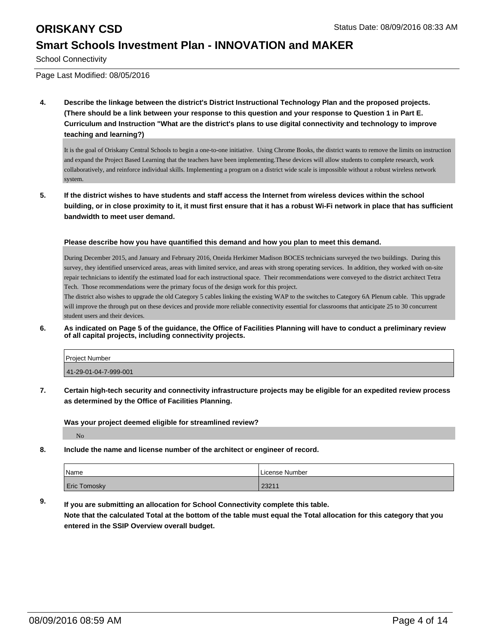School Connectivity

Page Last Modified: 08/05/2016

**4. Describe the linkage between the district's District Instructional Technology Plan and the proposed projects. (There should be a link between your response to this question and your response to Question 1 in Part E. Curriculum and Instruction "What are the district's plans to use digital connectivity and technology to improve teaching and learning?)**

It is the goal of Oriskany Central Schools to begin a one-to-one initiative. Using Chrome Books, the district wants to remove the limits on instruction and expand the Project Based Learning that the teachers have been implementing.These devices will allow students to complete research, work collaboratively, and reinforce individual skills. Implementing a program on a district wide scale is impossible without a robust wireless network system.

**5. If the district wishes to have students and staff access the Internet from wireless devices within the school building, or in close proximity to it, it must first ensure that it has a robust Wi-Fi network in place that has sufficient bandwidth to meet user demand.**

**Please describe how you have quantified this demand and how you plan to meet this demand.**

During December 2015, and January and February 2016, Oneida Herkimer Madison BOCES technicians surveyed the two buildings. During this survey, they identified unserviced areas, areas with limited service, and areas with strong operating services. In addition, they worked with on-site repair technicians to identify the estimated load for each instructional space. Their recommendations were conveyed to the district architect Tetra Tech. Those recommendations were the primary focus of the design work for this project.

The district also wishes to upgrade the old Category 5 cables linking the existing WAP to the switches to Category 6A Plenum cable. This upgrade will improve the through put on these devices and provide more reliable connectivity essential for classrooms that anticipate 25 to 30 concurrent student users and their devices.

**6. As indicated on Page 5 of the guidance, the Office of Facilities Planning will have to conduct a preliminary review of all capital projects, including connectivity projects.**

| <b>Project Number</b> |  |
|-----------------------|--|
| 41-29-01-04-7-999-001 |  |

**7. Certain high-tech security and connectivity infrastructure projects may be eligible for an expedited review process as determined by the Office of Facilities Planning.**

**Was your project deemed eligible for streamlined review?**

No

**8. Include the name and license number of the architect or engineer of record.**

| Name                | License Number  |
|---------------------|-----------------|
| <b>Eric Tomosky</b> | 2221<br>252 L I |

**9. If you are submitting an allocation for School Connectivity complete this table. Note that the calculated Total at the bottom of the table must equal the Total allocation for this category that you entered in the SSIP Overview overall budget.**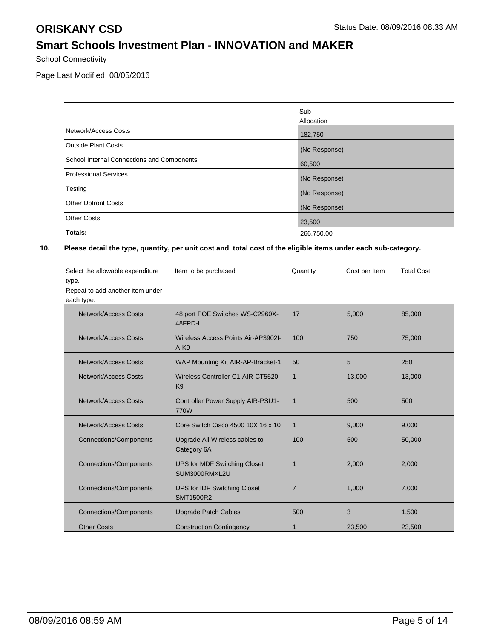School Connectivity

Page Last Modified: 08/05/2016

|                                            | Sub-          |
|--------------------------------------------|---------------|
|                                            | Allocation    |
| Network/Access Costs                       | 182,750       |
| <b>Outside Plant Costs</b>                 | (No Response) |
| School Internal Connections and Components | 60,500        |
| <b>Professional Services</b>               | (No Response) |
| Testing                                    | (No Response) |
| Other Upfront Costs                        | (No Response) |
| <b>Other Costs</b>                         | 23,500        |
| Totals:                                    | 266,750.00    |

| Select the allowable expenditure<br>type.<br>Repeat to add another item under<br>each type. | Item to be purchased                                 | Quantity       | Cost per Item | <b>Total Cost</b> |
|---------------------------------------------------------------------------------------------|------------------------------------------------------|----------------|---------------|-------------------|
| <b>Network/Access Costs</b>                                                                 | 48 port POE Switches WS-C2960X-<br>48FPD-L           | 17             | 5,000         | 85,000            |
| <b>Network/Access Costs</b>                                                                 | <b>Wireless Access Points Air-AP3902I-</b><br>$A-K9$ | 100            | 750           | 75.000            |
| <b>Network/Access Costs</b>                                                                 | WAP Mounting Kit AIR-AP-Bracket-1                    | 50             | 5             | 250               |
| Network/Access Costs                                                                        | Wireless Controller C1-AIR-CT5520-<br>K <sub>9</sub> |                | 13,000        | 13,000            |
| Network/Access Costs                                                                        | Controller Power Supply AIR-PSU1-<br>770W            | $\mathbf 1$    | 500           | 500               |
| <b>Network/Access Costs</b>                                                                 | Core Switch Cisco 4500 10X 16 x 10                   | 1              | 9,000         | 9,000             |
| <b>Connections/Components</b>                                                               | Upgrade All Wireless cables to<br>Category 6A        | 100            | 500           | 50,000            |
| <b>Connections/Components</b>                                                               | <b>UPS for MDF Switching Closet</b><br>SUM3000RMXL2U |                | 2.000         | 2,000             |
| <b>Connections/Components</b>                                                               | <b>UPS for IDF Switching Closet</b><br>SMT1500R2     | $\overline{7}$ | 1,000         | 7,000             |
| <b>Connections/Components</b>                                                               | <b>Upgrade Patch Cables</b>                          | 500            | 3             | 1,500             |
| <b>Other Costs</b>                                                                          | <b>Construction Contingency</b>                      |                | 23,500        | 23,500            |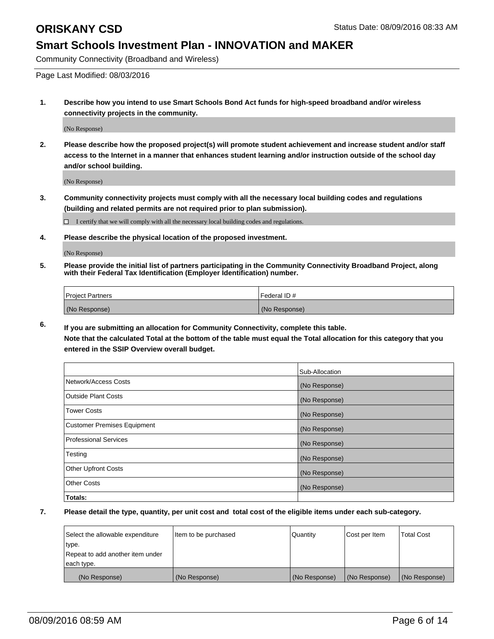Community Connectivity (Broadband and Wireless)

Page Last Modified: 08/03/2016

**1. Describe how you intend to use Smart Schools Bond Act funds for high-speed broadband and/or wireless connectivity projects in the community.**

(No Response)

**2. Please describe how the proposed project(s) will promote student achievement and increase student and/or staff access to the Internet in a manner that enhances student learning and/or instruction outside of the school day and/or school building.**

(No Response)

**3. Community connectivity projects must comply with all the necessary local building codes and regulations (building and related permits are not required prior to plan submission).**

 $\Box$  I certify that we will comply with all the necessary local building codes and regulations.

**4. Please describe the physical location of the proposed investment.**

(No Response)

**5. Please provide the initial list of partners participating in the Community Connectivity Broadband Project, along with their Federal Tax Identification (Employer Identification) number.**

| Project Partners | <b>IFederal ID#</b> |
|------------------|---------------------|
| (No Response)    | (No Response)       |

**6. If you are submitting an allocation for Community Connectivity, complete this table. Note that the calculated Total at the bottom of the table must equal the Total allocation for this category that you**

**entered in the SSIP Overview overall budget.**

|                                    | Sub-Allocation |
|------------------------------------|----------------|
| Network/Access Costs               | (No Response)  |
| <b>Outside Plant Costs</b>         | (No Response)  |
| <b>Tower Costs</b>                 | (No Response)  |
| <b>Customer Premises Equipment</b> | (No Response)  |
| <b>Professional Services</b>       | (No Response)  |
| Testing                            | (No Response)  |
| <b>Other Upfront Costs</b>         | (No Response)  |
| <b>Other Costs</b>                 | (No Response)  |
| Totals:                            |                |

| Select the allowable expenditure | Item to be purchased | Quantity      | Cost per Item | <b>Total Cost</b> |
|----------------------------------|----------------------|---------------|---------------|-------------------|
| type.                            |                      |               |               |                   |
| Repeat to add another item under |                      |               |               |                   |
| each type.                       |                      |               |               |                   |
| (No Response)                    | (No Response)        | (No Response) | (No Response) | (No Response)     |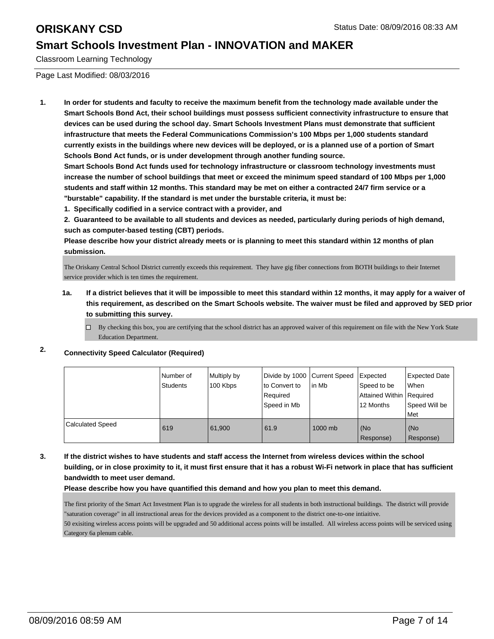Classroom Learning Technology

Page Last Modified: 08/03/2016

**1. In order for students and faculty to receive the maximum benefit from the technology made available under the Smart Schools Bond Act, their school buildings must possess sufficient connectivity infrastructure to ensure that devices can be used during the school day. Smart Schools Investment Plans must demonstrate that sufficient infrastructure that meets the Federal Communications Commission's 100 Mbps per 1,000 students standard currently exists in the buildings where new devices will be deployed, or is a planned use of a portion of Smart Schools Bond Act funds, or is under development through another funding source.**

**Smart Schools Bond Act funds used for technology infrastructure or classroom technology investments must increase the number of school buildings that meet or exceed the minimum speed standard of 100 Mbps per 1,000 students and staff within 12 months. This standard may be met on either a contracted 24/7 firm service or a "burstable" capability. If the standard is met under the burstable criteria, it must be:**

**1. Specifically codified in a service contract with a provider, and**

**2. Guaranteed to be available to all students and devices as needed, particularly during periods of high demand, such as computer-based testing (CBT) periods.**

**Please describe how your district already meets or is planning to meet this standard within 12 months of plan submission.**

The Oriskany Central School District currently exceeds this requirement. They have gig fiber connections from BOTH buildings to their Internet service provider which is ten times the requirement.

- **1a. If a district believes that it will be impossible to meet this standard within 12 months, it may apply for a waiver of this requirement, as described on the Smart Schools website. The waiver must be filed and approved by SED prior to submitting this survey.**
	- $\Box$  By checking this box, you are certifying that the school district has an approved waiver of this requirement on file with the New York State Education Department.

## **2. Connectivity Speed Calculator (Required)**

|                         | l Number of<br>Students | Multiply by<br>100 Kbps | Ito Convert to<br>Required<br>Speed in Mb | Divide by 1000 Current Speed Expected<br>lin Mb | Speed to be<br>Attained Within   Required<br>12 Months | <b>Expected Date</b><br>l When<br>Speed Will be<br>Met |
|-------------------------|-------------------------|-------------------------|-------------------------------------------|-------------------------------------------------|--------------------------------------------------------|--------------------------------------------------------|
| <b>Calculated Speed</b> | 619                     | 61.900                  | 61.9                                      | $1000$ mb                                       | (No<br>Response)                                       | (No<br>Response)                                       |

**3. If the district wishes to have students and staff access the Internet from wireless devices within the school building, or in close proximity to it, it must first ensure that it has a robust Wi-Fi network in place that has sufficient bandwidth to meet user demand.**

### **Please describe how you have quantified this demand and how you plan to meet this demand.**

The first priority of the Smart Act Investment Plan is to upgrade the wireless for all students in both instructional buildings. The district will provide "saturation coverage" in all instructional areas for the devices provided as a component to the district one-to-one intiaitive. 50 exisiting wireless access points will be upgraded and 50 additional access points will be installed. All wireless access points will be serviced using

Category 6a plenum cable.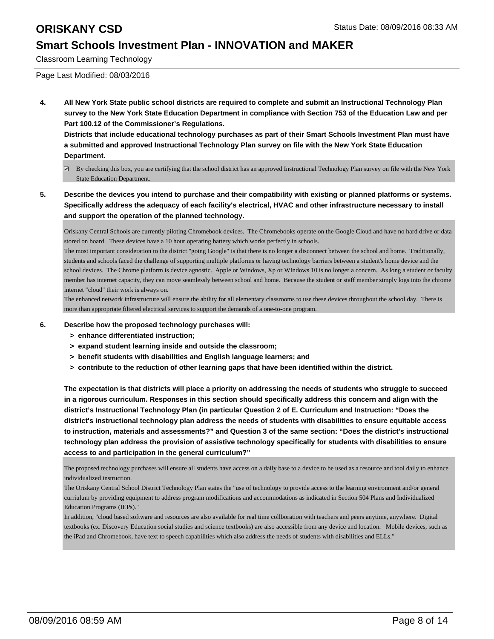Classroom Learning Technology

Page Last Modified: 08/03/2016

**4. All New York State public school districts are required to complete and submit an Instructional Technology Plan survey to the New York State Education Department in compliance with Section 753 of the Education Law and per Part 100.12 of the Commissioner's Regulations.**

**Districts that include educational technology purchases as part of their Smart Schools Investment Plan must have a submitted and approved Instructional Technology Plan survey on file with the New York State Education Department.**

- By checking this box, you are certifying that the school district has an approved Instructional Technology Plan survey on file with the New York State Education Department.
- **5. Describe the devices you intend to purchase and their compatibility with existing or planned platforms or systems. Specifically address the adequacy of each facility's electrical, HVAC and other infrastructure necessary to install and support the operation of the planned technology.**

Oriskany Central Schools are currently piloting Chromebook devices. The Chromebooks operate on the Google Cloud and have no hard drive or data stored on board. These devices have a 10 hour operating battery which works perfectly in schools.

The most important consideration to the district "going Google" is that there is no longer a disconnect between the school and home. Traditionally, students and schools faced the challenge of supporting multiple platforms or having technology barriers between a student's home device and the school devices. The Chrome platform is device agnostic. Apple or Windows, Xp or WIndows 10 is no longer a concern. As long a student or faculty member has internet capacity, they can move seamlessly between school and home. Because the student or staff member simply logs into the chrome internet "cloud" their work is always on.

The enhanced network infrastructure will ensure the ability for all elementary classrooms to use these devices throughout the school day. There is more than appropriate filtered electrical services to support the demands of a one-to-one program.

- **6. Describe how the proposed technology purchases will:**
	- **> enhance differentiated instruction;**
	- **> expand student learning inside and outside the classroom;**
	- **> benefit students with disabilities and English language learners; and**
	- **> contribute to the reduction of other learning gaps that have been identified within the district.**

**The expectation is that districts will place a priority on addressing the needs of students who struggle to succeed in a rigorous curriculum. Responses in this section should specifically address this concern and align with the district's Instructional Technology Plan (in particular Question 2 of E. Curriculum and Instruction: "Does the district's instructional technology plan address the needs of students with disabilities to ensure equitable access to instruction, materials and assessments?" and Question 3 of the same section: "Does the district's instructional technology plan address the provision of assistive technology specifically for students with disabilities to ensure access to and participation in the general curriculum?"**

The proposed technology purchases will ensure all students have access on a daily base to a device to be used as a resource and tool daily to enhance individualized instruction.

The Oriskany Central School District Technology Plan states the "use of technology to provide access to the learning environment and/or general curriulum by providing equipment to address program modifications and accommodations as indicated in Section 504 Plans and Individualized Education Programs (IEPs)."

In addition, "cloud based software and resources are also available for real time collboration with teachers and peers anytime, anywhere. Digital textbooks (ex. Discovery Education social studies and science textbooks) are also accessible from any device and location. Mobile devices, such as the iPad and Chromebook, have text to speech capabilities which also address the needs of students with disabilities and ELLs."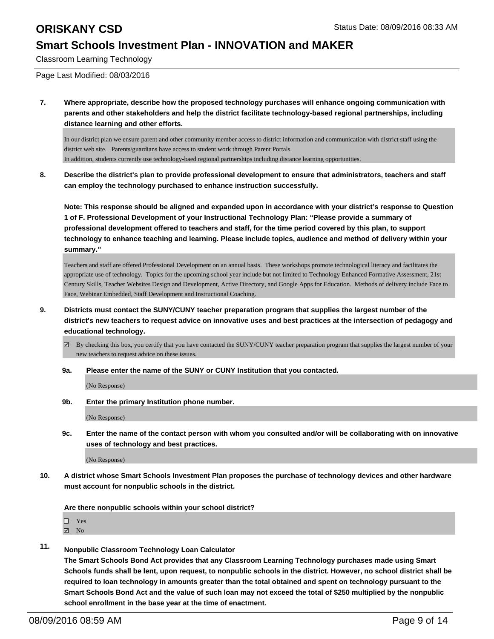Classroom Learning Technology

Page Last Modified: 08/03/2016

**7. Where appropriate, describe how the proposed technology purchases will enhance ongoing communication with parents and other stakeholders and help the district facilitate technology-based regional partnerships, including distance learning and other efforts.**

In our district plan we ensure parent and other community member access to district information and communication with district staff using the district web site. Parents/guardians have access to student work through Parent Portals. In addition, students currently use technology-baed regional partnerships including distance learning opportunities.

**8. Describe the district's plan to provide professional development to ensure that administrators, teachers and staff can employ the technology purchased to enhance instruction successfully.**

**Note: This response should be aligned and expanded upon in accordance with your district's response to Question 1 of F. Professional Development of your Instructional Technology Plan: "Please provide a summary of professional development offered to teachers and staff, for the time period covered by this plan, to support technology to enhance teaching and learning. Please include topics, audience and method of delivery within your summary."**

Teachers and staff are offered Professional Development on an annual basis. These workshops promote technological literacy and facilitates the appropriate use of technology. Topics for the upcoming school year include but not limited to Technology Enhanced Formative Assessment, 21st Century Skills, Teacher Websites Design and Development, Active Directory, and Google Apps for Education. Methods of delivery include Face to Face, Webinar Embedded, Staff Development and Instructional Coaching.

- **9. Districts must contact the SUNY/CUNY teacher preparation program that supplies the largest number of the district's new teachers to request advice on innovative uses and best practices at the intersection of pedagogy and educational technology.**
	- By checking this box, you certify that you have contacted the SUNY/CUNY teacher preparation program that supplies the largest number of your new teachers to request advice on these issues.
	- **9a. Please enter the name of the SUNY or CUNY Institution that you contacted.**

(No Response)

**9b. Enter the primary Institution phone number.**

(No Response)

**9c. Enter the name of the contact person with whom you consulted and/or will be collaborating with on innovative uses of technology and best practices.**

(No Response)

**10. A district whose Smart Schools Investment Plan proposes the purchase of technology devices and other hardware must account for nonpublic schools in the district.**

**Are there nonpublic schools within your school district?**

□ Yes

**☑** No

**11. Nonpublic Classroom Technology Loan Calculator**

**The Smart Schools Bond Act provides that any Classroom Learning Technology purchases made using Smart Schools funds shall be lent, upon request, to nonpublic schools in the district. However, no school district shall be required to loan technology in amounts greater than the total obtained and spent on technology pursuant to the Smart Schools Bond Act and the value of such loan may not exceed the total of \$250 multiplied by the nonpublic school enrollment in the base year at the time of enactment.**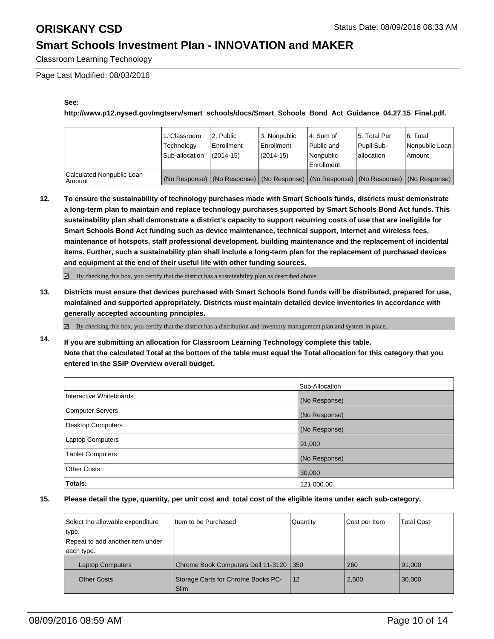Classroom Learning Technology

Page Last Modified: 08/03/2016

### **See:**

**http://www.p12.nysed.gov/mgtserv/smart\_schools/docs/Smart\_Schools\_Bond\_Act\_Guidance\_04.27.15\_Final.pdf.**

|                                     | 1. Classroom<br>Technology<br>Sub-allocation | 2. Public<br>Enrollment<br>$(2014 - 15)$ | 3. Nonpublic<br><b>Enrollment</b><br>(2014-15) | 4. Sum of<br>Public and<br>Nonpublic<br><b>Enrollment</b> | 15. Total Per<br>Pupil Sub-<br>lallocation | 6. Total<br>Nonpublic Loan<br>Amount                                                          |
|-------------------------------------|----------------------------------------------|------------------------------------------|------------------------------------------------|-----------------------------------------------------------|--------------------------------------------|-----------------------------------------------------------------------------------------------|
| Calculated Nonpublic Loan<br>Amount |                                              |                                          |                                                |                                                           |                                            | (No Response)   (No Response)   (No Response)   (No Response)   (No Response)   (No Response) |

**12. To ensure the sustainability of technology purchases made with Smart Schools funds, districts must demonstrate a long-term plan to maintain and replace technology purchases supported by Smart Schools Bond Act funds. This sustainability plan shall demonstrate a district's capacity to support recurring costs of use that are ineligible for Smart Schools Bond Act funding such as device maintenance, technical support, Internet and wireless fees, maintenance of hotspots, staff professional development, building maintenance and the replacement of incidental items. Further, such a sustainability plan shall include a long-term plan for the replacement of purchased devices and equipment at the end of their useful life with other funding sources.**

 $\boxdot$  By checking this box, you certify that the district has a sustainability plan as described above.

**13. Districts must ensure that devices purchased with Smart Schools Bond funds will be distributed, prepared for use, maintained and supported appropriately. Districts must maintain detailed device inventories in accordance with generally accepted accounting principles.**

 $\boxtimes$  By checking this box, you certify that the district has a distribution and inventory management plan and system in place.

**14. If you are submitting an allocation for Classroom Learning Technology complete this table. Note that the calculated Total at the bottom of the table must equal the Total allocation for this category that you entered in the SSIP Overview overall budget.**

|                          | Sub-Allocation |
|--------------------------|----------------|
| Interactive Whiteboards  | (No Response)  |
| <b>Computer Servers</b>  | (No Response)  |
| <b>Desktop Computers</b> | (No Response)  |
| <b>Laptop Computers</b>  | 91,000         |
| <b>Tablet Computers</b>  | (No Response)  |
| Other Costs              | 30,000         |
| <b>Totals:</b>           | 121,000.00     |

| Select the allowable expenditure | Item to be Purchased                       | Quantity | Cost per Item | <b>Total Cost</b> |
|----------------------------------|--------------------------------------------|----------|---------------|-------------------|
| type.                            |                                            |          |               |                   |
| Repeat to add another item under |                                            |          |               |                   |
| each type.                       |                                            |          |               |                   |
| <b>Laptop Computers</b>          | Chrome Book Computers Dell 11-3120   350   |          | 260           | 91.000            |
| <b>Other Costs</b>               | Storage Carts for Chrome Books PC-<br>Slim | l 12     | 2,500         | 30,000            |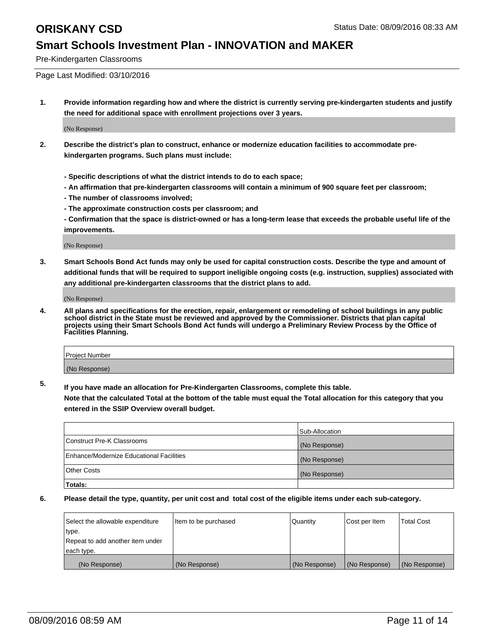Pre-Kindergarten Classrooms

Page Last Modified: 03/10/2016

**1. Provide information regarding how and where the district is currently serving pre-kindergarten students and justify the need for additional space with enrollment projections over 3 years.**

(No Response)

- **2. Describe the district's plan to construct, enhance or modernize education facilities to accommodate prekindergarten programs. Such plans must include:**
	- **Specific descriptions of what the district intends to do to each space;**
	- **An affirmation that pre-kindergarten classrooms will contain a minimum of 900 square feet per classroom;**
	- **The number of classrooms involved;**
	- **The approximate construction costs per classroom; and**
	- **Confirmation that the space is district-owned or has a long-term lease that exceeds the probable useful life of the improvements.**

(No Response)

**3. Smart Schools Bond Act funds may only be used for capital construction costs. Describe the type and amount of additional funds that will be required to support ineligible ongoing costs (e.g. instruction, supplies) associated with any additional pre-kindergarten classrooms that the district plans to add.**

(No Response)

**4. All plans and specifications for the erection, repair, enlargement or remodeling of school buildings in any public school district in the State must be reviewed and approved by the Commissioner. Districts that plan capital projects using their Smart Schools Bond Act funds will undergo a Preliminary Review Process by the Office of Facilities Planning.**

| Project Number |  |
|----------------|--|
| (No Response)  |  |

**5. If you have made an allocation for Pre-Kindergarten Classrooms, complete this table.**

**Note that the calculated Total at the bottom of the table must equal the Total allocation for this category that you entered in the SSIP Overview overall budget.**

|                                          | Sub-Allocation |
|------------------------------------------|----------------|
| Construct Pre-K Classrooms               | (No Response)  |
| Enhance/Modernize Educational Facilities | (No Response)  |
| <b>Other Costs</b>                       | (No Response)  |
| Totals:                                  |                |

| Select the allowable expenditure | litem to be purchased | Quantity      | Cost per Item | <b>Total Cost</b> |
|----------------------------------|-----------------------|---------------|---------------|-------------------|
| type.                            |                       |               |               |                   |
| Repeat to add another item under |                       |               |               |                   |
| each type.                       |                       |               |               |                   |
| (No Response)                    | (No Response)         | (No Response) | (No Response) | (No Response)     |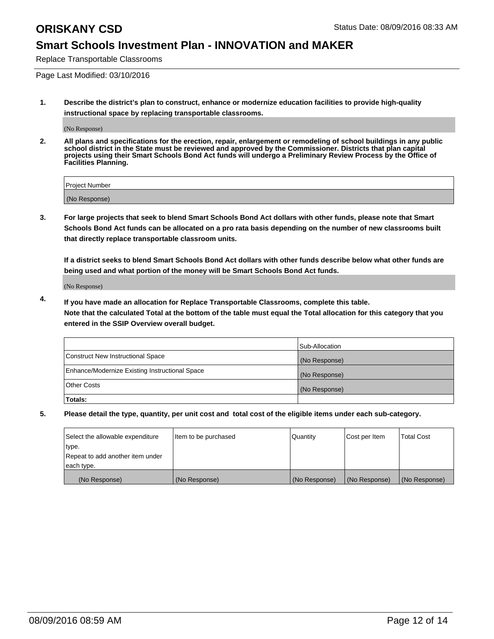Replace Transportable Classrooms

Page Last Modified: 03/10/2016

**1. Describe the district's plan to construct, enhance or modernize education facilities to provide high-quality instructional space by replacing transportable classrooms.**

(No Response)

**2. All plans and specifications for the erection, repair, enlargement or remodeling of school buildings in any public school district in the State must be reviewed and approved by the Commissioner. Districts that plan capital projects using their Smart Schools Bond Act funds will undergo a Preliminary Review Process by the Office of Facilities Planning.**

| <b>Project Number</b> |  |
|-----------------------|--|
| (No Response)         |  |

**3. For large projects that seek to blend Smart Schools Bond Act dollars with other funds, please note that Smart Schools Bond Act funds can be allocated on a pro rata basis depending on the number of new classrooms built that directly replace transportable classroom units.**

**If a district seeks to blend Smart Schools Bond Act dollars with other funds describe below what other funds are being used and what portion of the money will be Smart Schools Bond Act funds.**

(No Response)

**4. If you have made an allocation for Replace Transportable Classrooms, complete this table. Note that the calculated Total at the bottom of the table must equal the Total allocation for this category that you entered in the SSIP Overview overall budget.**

|                                                | Sub-Allocation |
|------------------------------------------------|----------------|
| Construct New Instructional Space              | (No Response)  |
| Enhance/Modernize Existing Instructional Space | (No Response)  |
| Other Costs                                    | (No Response)  |
| Totals:                                        |                |

| Select the allowable expenditure | Item to be purchased | Quantity      | Cost per Item | <b>Total Cost</b> |
|----------------------------------|----------------------|---------------|---------------|-------------------|
| type.                            |                      |               |               |                   |
| Repeat to add another item under |                      |               |               |                   |
| each type.                       |                      |               |               |                   |
| (No Response)                    | (No Response)        | (No Response) | (No Response) | (No Response)     |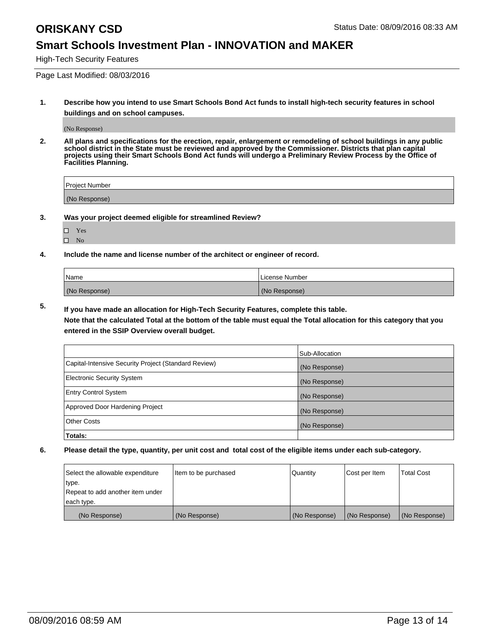High-Tech Security Features

Page Last Modified: 08/03/2016

**1. Describe how you intend to use Smart Schools Bond Act funds to install high-tech security features in school buildings and on school campuses.**

(No Response)

**2. All plans and specifications for the erection, repair, enlargement or remodeling of school buildings in any public school district in the State must be reviewed and approved by the Commissioner. Districts that plan capital projects using their Smart Schools Bond Act funds will undergo a Preliminary Review Process by the Office of Facilities Planning.** 

| Project Number |  |
|----------------|--|
| (No Response)  |  |

**3. Was your project deemed eligible for streamlined Review?**

| П | Yes |  |
|---|-----|--|
| П | Nο  |  |

**4. Include the name and license number of the architect or engineer of record.**

| Name          | License Number |
|---------------|----------------|
| (No Response) | (No Response)  |

**5. If you have made an allocation for High-Tech Security Features, complete this table.**

**Note that the calculated Total at the bottom of the table must equal the Total allocation for this category that you entered in the SSIP Overview overall budget.**

|                                                      | Sub-Allocation |
|------------------------------------------------------|----------------|
| Capital-Intensive Security Project (Standard Review) | (No Response)  |
| <b>Electronic Security System</b>                    | (No Response)  |
| <b>Entry Control System</b>                          | (No Response)  |
| Approved Door Hardening Project                      | (No Response)  |
| <b>Other Costs</b>                                   | (No Response)  |
| Totals:                                              |                |

| Select the allowable expenditure | litem to be purchased | Quantity      | Cost per Item | <b>Total Cost</b> |
|----------------------------------|-----------------------|---------------|---------------|-------------------|
| type.                            |                       |               |               |                   |
| Repeat to add another item under |                       |               |               |                   |
| each type.                       |                       |               |               |                   |
| (No Response)                    | (No Response)         | (No Response) | (No Response) | (No Response)     |